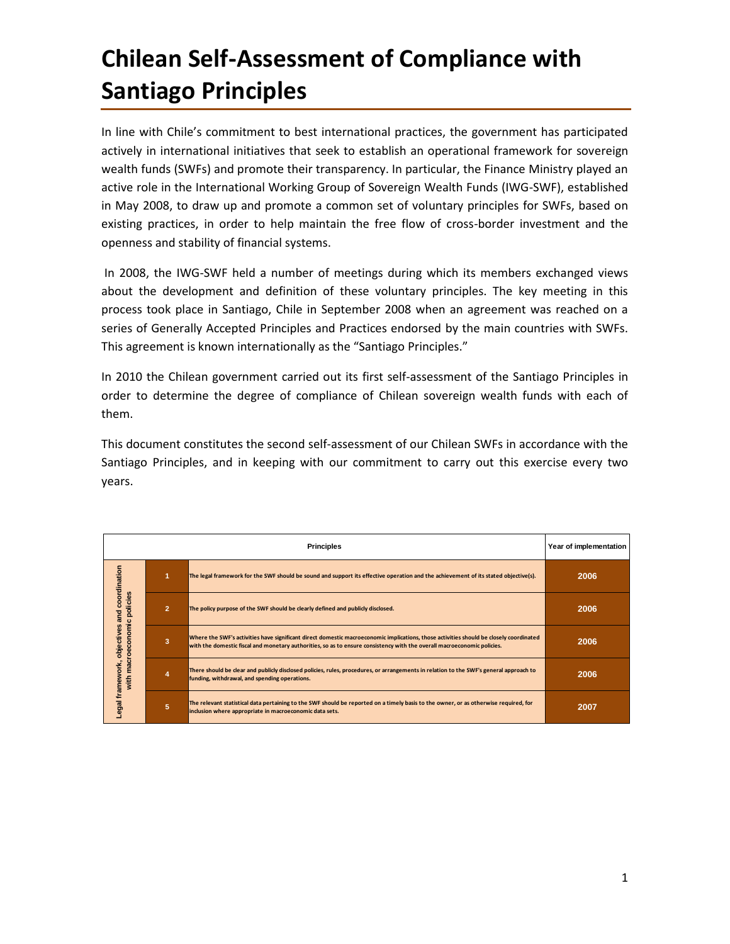# **Chilean Self-Assessment of Compliance with Santiago Principles**

In line with Chile's commitment to best international practices, the government has participated actively in international initiatives that seek to establish an operational framework for sovereign wealth funds (SWFs) and promote their transparency. In particular, the Finance Ministry played an active role in the International Working Group of Sovereign Wealth Funds (IWG-SWF), established in May 2008, to draw up and promote a common set of voluntary principles for SWFs, based on existing practices, in order to help maintain the free flow of cross-border investment and the openness and stability of financial systems.

In 2008, the IWG-SWF held a number of meetings during which its members exchanged views about the development and definition of these voluntary principles. The key meeting in this process took place in Santiago, Chile in September 2008 when an agreement was reached on a series of Generally Accepted Principles and Practices endorsed by the main countries with SWFs. This agreement is known internationally as the "Santiago Principles."

In 2010 the Chilean government carried out its first self-assessment of the Santiago Principles in order to determine the degree of compliance of Chilean sovereign wealth funds with each of them.

This document constitutes the second self-assessment of our Chilean SWFs in accordance with the Santiago Principles, and in keeping with our commitment to carry out this exercise every two years.

|                                                                                                                                                     | Year of implementation  |                                                                                                                                                                                                                                                                   |      |
|-----------------------------------------------------------------------------------------------------------------------------------------------------|-------------------------|-------------------------------------------------------------------------------------------------------------------------------------------------------------------------------------------------------------------------------------------------------------------|------|
| coordination<br>$\boldsymbol{\omega}$<br>policies<br><b>and</b><br>$\mathbf{o}$<br>Ē<br>objectives<br>Ě<br>8<br>ို<br>Legal framework,<br>Ē<br>with |                         | The legal framework for the SWF should be sound and support its effective operation and the achievement of its stated objective(s).                                                                                                                               | 2006 |
|                                                                                                                                                     | $\overline{2}$          | The policy purpose of the SWF should be clearly defined and publicly disclosed.                                                                                                                                                                                   | 2006 |
|                                                                                                                                                     | $\overline{\mathbf{3}}$ | Where the SWF's activities have significant direct domestic macroeconomic implications, those activities should be closely coordinated<br>with the domestic fiscal and monetary authorities, so as to ensure consistency with the overall macroeconomic policies. | 2006 |
|                                                                                                                                                     |                         | There should be clear and publicly disclosed policies, rules, procedures, or arrangements in relation to the SWF's general approach to<br>funding, withdrawal, and spending operations.                                                                           | 2006 |
|                                                                                                                                                     | 5                       | The relevant statistical data pertaining to the SWF should be reported on a timely basis to the owner, or as otherwise required, for<br>inclusion where appropriate in macroeconomic data sets.                                                                   | 2007 |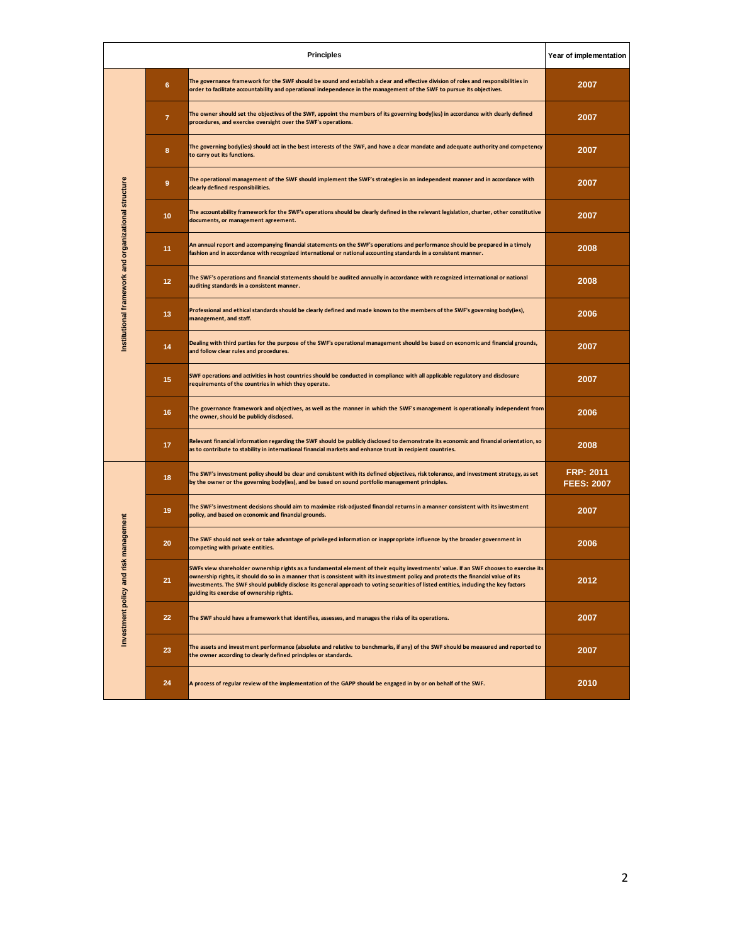|                                                                    |                 | <b>Principles</b>                                                                                                                                                                                                                                                                                                                                                                                                                                                  | Year of implementation                |
|--------------------------------------------------------------------|-----------------|--------------------------------------------------------------------------------------------------------------------------------------------------------------------------------------------------------------------------------------------------------------------------------------------------------------------------------------------------------------------------------------------------------------------------------------------------------------------|---------------------------------------|
| Institutional framework and organizational structure               | $6\phantom{a}$  | The governance framework for the SWF should be sound and establish a clear and effective division of roles and responsibilities in<br>order to facilitate accountability and operational independence in the management of the SWF to pursue its objectives.                                                                                                                                                                                                       | 2007                                  |
|                                                                    | $\overline{7}$  | The owner should set the objectives of the SWF, appoint the members of its governing body(ies) in accordance with clearly defined<br>procedures, and exercise oversight over the SWF's operations.                                                                                                                                                                                                                                                                 | 2007                                  |
|                                                                    | 8               | The governing body(ies) should act in the best interests of the SWF, and have a clear mandate and adequate authority and competency<br>to carry out its functions.                                                                                                                                                                                                                                                                                                 | 2007                                  |
|                                                                    | 9               | The operational management of the SWF should implement the SWF's strategies in an independent manner and in accordance with<br>clearly defined responsibilities.                                                                                                                                                                                                                                                                                                   | 2007                                  |
|                                                                    | 10 <sub>1</sub> | The accountability framework for the SWF's operations should be clearly defined in the relevant legislation, charter, other constitutive<br>documents, or management agreement.                                                                                                                                                                                                                                                                                    | 2007                                  |
|                                                                    | 11              | An annual report and accompanying financial statements on the SWF's operations and performance should be prepared in a timely<br>fashion and in accordance with recognized international or national accounting standards in a consistent manner.                                                                                                                                                                                                                  | 2008                                  |
|                                                                    | 12 <sub>2</sub> | The SWF's operations and financial statements should be audited annually in accordance with recognized international or national<br>auditing standards in a consistent manner.                                                                                                                                                                                                                                                                                     | 2008                                  |
|                                                                    | 13              | Professional and ethical standards should be clearly defined and made known to the members of the SWF's governing body(ies),<br>management, and staff.                                                                                                                                                                                                                                                                                                             | 2006                                  |
|                                                                    | 14              | Dealing with third parties for the purpose of the SWF's operational management should be based on economic and financial grounds,<br>and follow clear rules and procedures.                                                                                                                                                                                                                                                                                        | 2007                                  |
|                                                                    | 15              | SWF operations and activities in host countries should be conducted in compliance with all applicable regulatory and disclosure<br>requirements of the countries in which they operate.                                                                                                                                                                                                                                                                            | 2007                                  |
|                                                                    | 16              | The governance framework and objectives, as well as the manner in which the SWF's management is operationally independent from<br>the owner, should be publicly disclosed.                                                                                                                                                                                                                                                                                         | 2006                                  |
|                                                                    | 17              | Relevant financial information regarding the SWF should be publicly disclosed to demonstrate its economic and financial orientation, so<br>as to contribute to stability in international financial markets and enhance trust in recipient countries.                                                                                                                                                                                                              | 2008                                  |
| risk management<br>$\overline{\mathbf{c}}$<br>Investment policy an | 18              | The SWF's investment policy should be clear and consistent with its defined objectives, risk tolerance, and investment strategy, as set<br>by the owner or the governing body(ies), and be based on sound portfolio management principles.                                                                                                                                                                                                                         | <b>FRP: 2011</b><br><b>FEES: 2007</b> |
|                                                                    | 19              | The SWF's investment decisions should aim to maximize risk-adjusted financial returns in a manner consistent with its investment<br>policy, and based on economic and financial grounds.                                                                                                                                                                                                                                                                           | 2007                                  |
|                                                                    | 20              | The SWF should not seek or take advantage of privileged information or inappropriate influence by the broader government in<br>competing with private entities.                                                                                                                                                                                                                                                                                                    | 2006                                  |
|                                                                    | 21              | SWFs view shareholder ownership rights as a fundamental element of their equity investments' value. If an SWF chooses to exercise its<br>ownership rights, it should do so in a manner that is consistent with its investment policy and protects the financial value of its<br>investments. The SWF should publicly disclose its general approach to voting securities of listed entities, including the key factors<br>guiding its exercise of ownership rights. | 2012                                  |
|                                                                    | 22              | The SWF should have a framework that identifies, assesses, and manages the risks of its operations.                                                                                                                                                                                                                                                                                                                                                                | 2007                                  |
|                                                                    | 23              | The assets and investment performance (absolute and relative to benchmarks, if any) of the SWF should be measured and reported to<br>the owner according to clearly defined principles or standards.                                                                                                                                                                                                                                                               | 2007                                  |
|                                                                    | 24              | A process of regular review of the implementation of the GAPP should be engaged in by or on behalf of the SWF.                                                                                                                                                                                                                                                                                                                                                     | 2010                                  |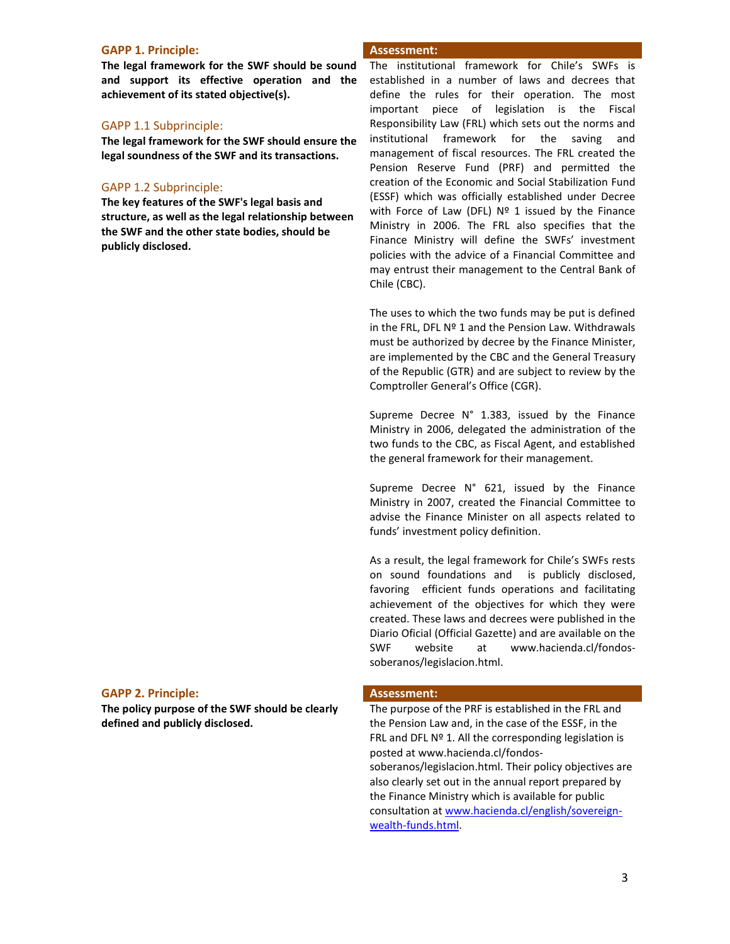### **GAPP 1. Principle: Assessment:**

**The legal framework for the SWF should be sound and support its effective operation and the achievement of its stated objective(s).**

# GAPP 1.1 Subprinciple:

**The legal framework for the SWF should ensure the legal soundness of the SWF and its transactions.**

# GAPP 1.2 Subprinciple:

**The key features of the SWF's legal basis and structure, as well as the legal relationship between the SWF and the other state bodies, should be publicly disclosed.**

The institutional framework for Chile's SWFs is established in a number of laws and decrees that define the rules for their operation. The most important piece of legislation is the Fiscal Responsibility Law (FRL) which sets out the norms and institutional framework for the saving and management of fiscal resources. The FRL created the Pension Reserve Fund (PRF) and permitted the creation of the Economic and Social Stabilization Fund (ESSF) which was officially established under Decree with Force of Law (DFL)  $N^{\circ}$  1 issued by the Finance Ministry in 2006. The FRL also specifies that the Finance Ministry will define the SWFs' investment policies with the advice of a Financial Committee and may entrust their management to the Central Bank of Chile (CBC).

The uses to which the two funds may be put is defined in the FRL, DFL Nº 1 and the Pension Law. Withdrawals must be authorized by decree by the Finance Minister, are implemented by the CBC and the General Treasury of the Republic (GTR) and are subject to review by the Comptroller General's Office (CGR).

Supreme Decree N° 1.383, issued by the Finance Ministry in 2006, delegated the administration of the two funds to the CBC, as Fiscal Agent, and established the general framework for their management.

Supreme Decree N° 621, issued by the Finance Ministry in 2007, created the Financial Committee to advise the Finance Minister on all aspects related to funds' investment policy definition.

As a result, the legal framework for Chile's SWFs rests on sound foundations and is publicly disclosed, favoring efficient funds operations and facilitating achievement of the objectives for which they were created. These laws and decrees were published in the Diario Oficial (Official Gazette) and are available on the SWF website at www.hacienda.cl/fondossoberanos/legislacion.html.

# **GAPP 2. Principle: Assessment:**

**The policy purpose of the SWF should be clearly defined and publicly disclosed.**

The purpose of the PRF is established in the FRL and the Pension Law and, in the case of the ESSF, in the FRL and DFL  $N<sup>o</sup>$  1. All the corresponding legislation is posted at www.hacienda.cl/fondossoberanos/legislacion.html. Their policy objectives are also clearly set out in the annual report prepared by the Finance Ministry which is available for public consultation a[t www.hacienda.cl/english/sovereign](http://www.hacienda.cl/english/sovereign-wealth-funds.html)[wealth-funds.html.](http://www.hacienda.cl/english/sovereign-wealth-funds.html)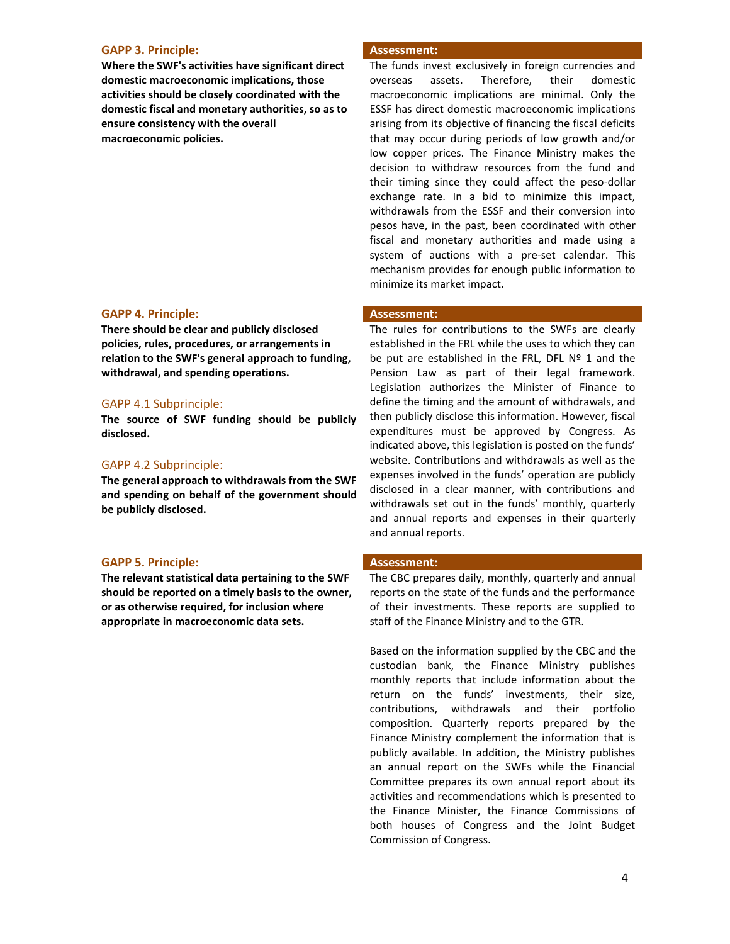### **GAPP 3. Principle: Assessment:**

**Where the SWF's activities have significant direct domestic macroeconomic implications, those activities should be closely coordinated with the domestic fiscal and monetary authorities, so as to ensure consistency with the overall macroeconomic policies.**

# **GAPP 4. Principle: Assessment:**

**There should be clear and publicly disclosed policies, rules, procedures, or arrangements in relation to the SWF's general approach to funding, withdrawal, and spending operations.**

### GAPP 4.1 Subprinciple:

**The source of SWF funding should be publicly disclosed.**

### GAPP 4.2 Subprinciple:

**The general approach to withdrawals from the SWF and spending on behalf of the government should be publicly disclosed.**

### **GAPP 5. Principle: Assessment:**

**The relevant statistical data pertaining to the SWF should be reported on a timely basis to the owner, or as otherwise required, for inclusion where appropriate in macroeconomic data sets.**

The funds invest exclusively in foreign currencies and overseas assets. Therefore, their domestic macroeconomic implications are minimal. Only the ESSF has direct domestic macroeconomic implications arising from its objective of financing the fiscal deficits that may occur during periods of low growth and/or low copper prices. The Finance Ministry makes the decision to withdraw resources from the fund and their timing since they could affect the peso-dollar exchange rate. In a bid to minimize this impact, withdrawals from the ESSF and their conversion into pesos have, in the past, been coordinated with other fiscal and monetary authorities and made using a system of auctions with a pre-set calendar. This mechanism provides for enough public information to minimize its market impact.

The rules for contributions to the SWFs are clearly established in the FRL while the uses to which they can be put are established in the FRL, DFL  $N<sup>°</sup>$  1 and the Pension Law as part of their legal framework. Legislation authorizes the Minister of Finance to define the timing and the amount of withdrawals, and then publicly disclose this information. However, fiscal expenditures must be approved by Congress. As indicated above, this legislation is posted on the funds' website. Contributions and withdrawals as well as the expenses involved in the funds' operation are publicly disclosed in a clear manner, with contributions and withdrawals set out in the funds' monthly, quarterly and annual reports and expenses in their quarterly and annual reports.

The CBC prepares daily, monthly, quarterly and annual reports on the state of the funds and the performance of their investments. These reports are supplied to staff of the Finance Ministry and to the GTR.

Based on the information supplied by the CBC and the custodian bank, the Finance Ministry publishes monthly reports that include information about the return on the funds' investments, their size, contributions, withdrawals and their portfolio composition. Quarterly reports prepared by the Finance Ministry complement the information that is publicly available. In addition, the Ministry publishes an annual report on the SWFs while the Financial Committee prepares its own annual report about its activities and recommendations which is presented to the Finance Minister, the Finance Commissions of both houses of Congress and the Joint Budget Commission of Congress.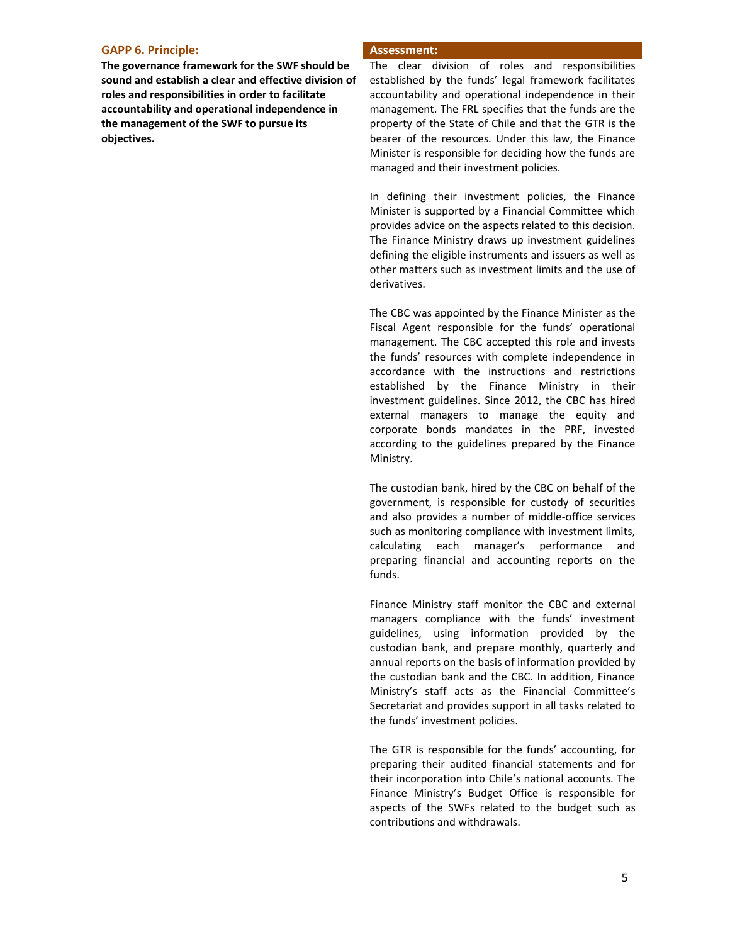### **GAPP 6. Principle: Assessment:**

**The governance framework for the SWF should be sound and establish a clear and effective division of roles and responsibilities in order to facilitate accountability and operational independence in the management of the SWF to pursue its objectives.**

The clear division of roles and responsibilities established by the funds' legal framework facilitates accountability and operational independence in their management. The FRL specifies that the funds are the property of the State of Chile and that the GTR is the bearer of the resources. Under this law, the Finance Minister is responsible for deciding how the funds are managed and their investment policies.

In defining their investment policies, the Finance Minister is supported by a Financial Committee which provides advice on the aspects related to this decision. The Finance Ministry draws up investment guidelines defining the eligible instruments and issuers as well as other matters such as investment limits and the use of derivatives.

The CBC was appointed by the Finance Minister as the Fiscal Agent responsible for the funds' operational management. The CBC accepted this role and invests the funds' resources with complete independence in accordance with the instructions and restrictions established by the Finance Ministry in their investment guidelines. Since 2012, the CBC has hired external managers to manage the equity and corporate bonds mandates in the PRF, invested according to the guidelines prepared by the Finance Ministry.

The custodian bank, hired by the CBC on behalf of the government, is responsible for custody of securities and also provides a number of middle-office services such as monitoring compliance with investment limits, calculating each manager's performance and preparing financial and accounting reports on the funds.

Finance Ministry staff monitor the CBC and external managers compliance with the funds' investment guidelines, using information provided by the custodian bank, and prepare monthly, quarterly and annual reports on the basis of information provided by the custodian bank and the CBC. In addition, Finance Ministry's staff acts as the Financial Committee's Secretariat and provides support in all tasks related to the funds' investment policies.

The GTR is responsible for the funds' accounting, for preparing their audited financial statements and for their incorporation into Chile's national accounts. The Finance Ministry's Budget Office is responsible for aspects of the SWFs related to the budget such as contributions and withdrawals.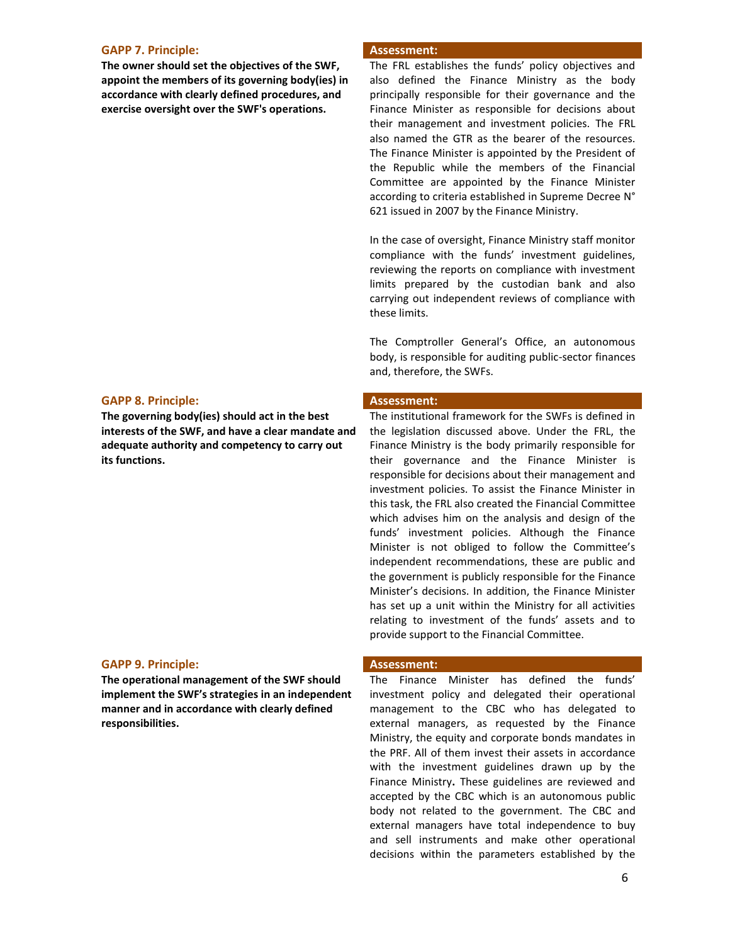### **GAPP 7. Principle: Assessment:**

**The owner should set the objectives of the SWF, appoint the members of its governing body(ies) in accordance with clearly defined procedures, and exercise oversight over the SWF's operations.**

### **GAPP 8. Principle: Assessment:**

**The governing body(ies) should act in the best interests of the SWF, and have a clear mandate and adequate authority and competency to carry out its functions.**

### **GAPP 9. Principle: Assessment:**

**The operational management of the SWF should implement the SWF's strategies in an independent manner and in accordance with clearly defined responsibilities.**

The FRL establishes the funds' policy objectives and also defined the Finance Ministry as the body principally responsible for their governance and the Finance Minister as responsible for decisions about their management and investment policies. The FRL also named the GTR as the bearer of the resources. The Finance Minister is appointed by the President of the Republic while the members of the Financial Committee are appointed by the Finance Minister according to criteria established in Supreme Decree N° 621 issued in 2007 by the Finance Ministry.

In the case of oversight, Finance Ministry staff monitor compliance with the funds' investment guidelines, reviewing the reports on compliance with investment limits prepared by the custodian bank and also carrying out independent reviews of compliance with these limits.

The Comptroller General's Office, an autonomous body, is responsible for auditing public-sector finances and, therefore, the SWFs.

The institutional framework for the SWFs is defined in the legislation discussed above. Under the FRL, the Finance Ministry is the body primarily responsible for their governance and the Finance Minister is responsible for decisions about their management and investment policies. To assist the Finance Minister in this task, the FRL also created the Financial Committee which advises him on the analysis and design of the funds' investment policies. Although the Finance Minister is not obliged to follow the Committee's independent recommendations, these are public and the government is publicly responsible for the Finance Minister's decisions. In addition, the Finance Minister has set up a unit within the Ministry for all activities relating to investment of the funds' assets and to provide support to the Financial Committee.

The Finance Minister has defined the funds' investment policy and delegated their operational management to the CBC who has delegated to external managers, as requested by the Finance Ministry, the equity and corporate bonds mandates in the PRF. All of them invest their assets in accordance with the investment guidelines drawn up by the Finance Ministry**.** These guidelines are reviewed and accepted by the CBC which is an autonomous public body not related to the government. The CBC and external managers have total independence to buy and sell instruments and make other operational decisions within the parameters established by the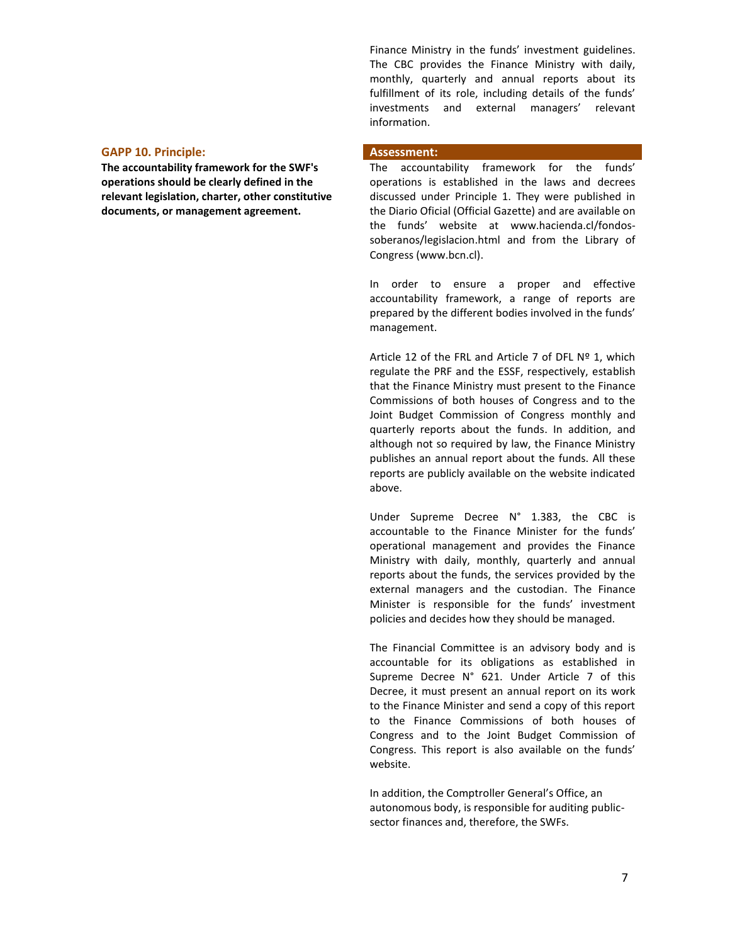**GAPP 10. Principle: Assessment:**

**The accountability framework for the SWF's operations should be clearly defined in the relevant legislation, charter, other constitutive documents, or management agreement.**

Finance Ministry in the funds' investment guidelines. The CBC provides the Finance Ministry with daily, monthly, quarterly and annual reports about its fulfillment of its role, including details of the funds' investments and external managers' relevant information.

The accountability framework for the funds' operations is established in the laws and decrees discussed under Principle 1. They were published in the Diario Oficial (Official Gazette) and are available on the funds' website at www.hacienda.cl/fondossoberanos/legislacion.html and from the Library of Congress (www.bcn.cl).

In order to ensure a proper and effective accountability framework, a range of reports are prepared by the different bodies involved in the funds' management.

Article 12 of the FRL and Article 7 of DFL Nº 1, which regulate the PRF and the ESSF, respectively, establish that the Finance Ministry must present to the Finance Commissions of both houses of Congress and to the Joint Budget Commission of Congress monthly and quarterly reports about the funds. In addition, and although not so required by law, the Finance Ministry publishes an annual report about the funds. All these reports are publicly available on the website indicated above.

Under Supreme Decree N° 1.383, the CBC is accountable to the Finance Minister for the funds' operational management and provides the Finance Ministry with daily, monthly, quarterly and annual reports about the funds, the services provided by the external managers and the custodian. The Finance Minister is responsible for the funds' investment policies and decides how they should be managed.

The Financial Committee is an advisory body and is accountable for its obligations as established in Supreme Decree N° 621. Under Article 7 of this Decree, it must present an annual report on its work to the Finance Minister and send a copy of this report to the Finance Commissions of both houses of Congress and to the Joint Budget Commission of Congress. This report is also available on the funds' website.

In addition, the Comptroller General's Office, an autonomous body, is responsible for auditing publicsector finances and, therefore, the SWFs.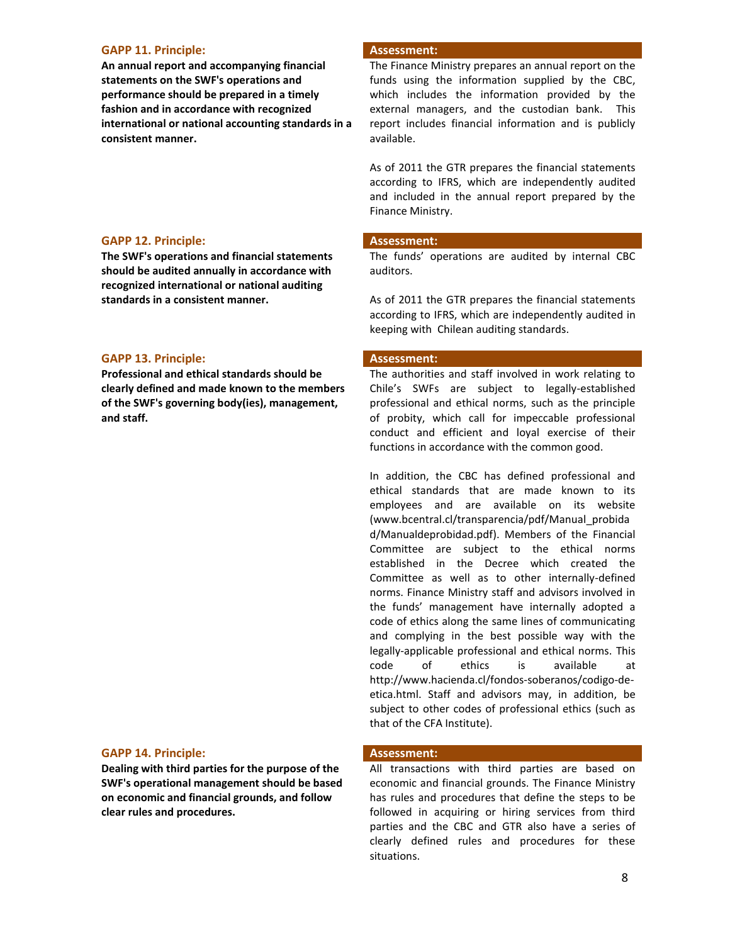### **GAPP 11. Principle: Assessment:**

**An annual report and accompanying financial statements on the SWF's operations and performance should be prepared in a timely fashion and in accordance with recognized international or national accounting standards in a consistent manner.**

### **GAPP 12. Principle: Assessment:**

**The SWF's operations and financial statements should be audited annually in accordance with recognized international or national auditing standards in a consistent manner.**

### **GAPP 13. Principle: Assessment:**

**Professional and ethical standards should be clearly defined and made known to the members of the SWF's governing body(ies), management, and staff.**

# **GAPP 14. Principle: Assessment:**

**Dealing with third parties for the purpose of the SWF's operational management should be based on economic and financial grounds, and follow clear rules and procedures.**

The Finance Ministry prepares an annual report on the funds using the information supplied by the CBC, which includes the information provided by the external managers, and the custodian bank. This report includes financial information and is publicly available.

As of 2011 the GTR prepares the financial statements according to IFRS, which are independently audited and included in the annual report prepared by the Finance Ministry.

The funds' operations are audited by internal CBC auditors.

As of 2011 the GTR prepares the financial statements according to IFRS, which are independently audited in keeping with Chilean auditing standards.

The authorities and staff involved in work relating to Chile's SWFs are subject to legally-established professional and ethical norms, such as the principle of probity, which call for impeccable professional conduct and efficient and loyal exercise of their functions in accordance with the common good.

In addition, the CBC has defined professional and ethical standards that are made known to its employees and are available on its website (www.bcentral.cl/transparencia/pdf/Manual\_probida d/Manualdeprobidad.pdf). Members of the Financial Committee are subject to the ethical norms established in the Decree which created the Committee as well as to other internally-defined norms. Finance Ministry staff and advisors involved in the funds' management have internally adopted a code of ethics along the same lines of communicating and complying in the best possible way with the legally-applicable professional and ethical norms. This code of ethics is available at http://www.hacienda.cl/fondos-soberanos/codigo-deetica.html. Staff and advisors may, in addition, be subject to other codes of professional ethics (such as that of the CFA Institute).

All transactions with third parties are based on economic and financial grounds. The Finance Ministry has rules and procedures that define the steps to be followed in acquiring or hiring services from third parties and the CBC and GTR also have a series of clearly defined rules and procedures for these situations.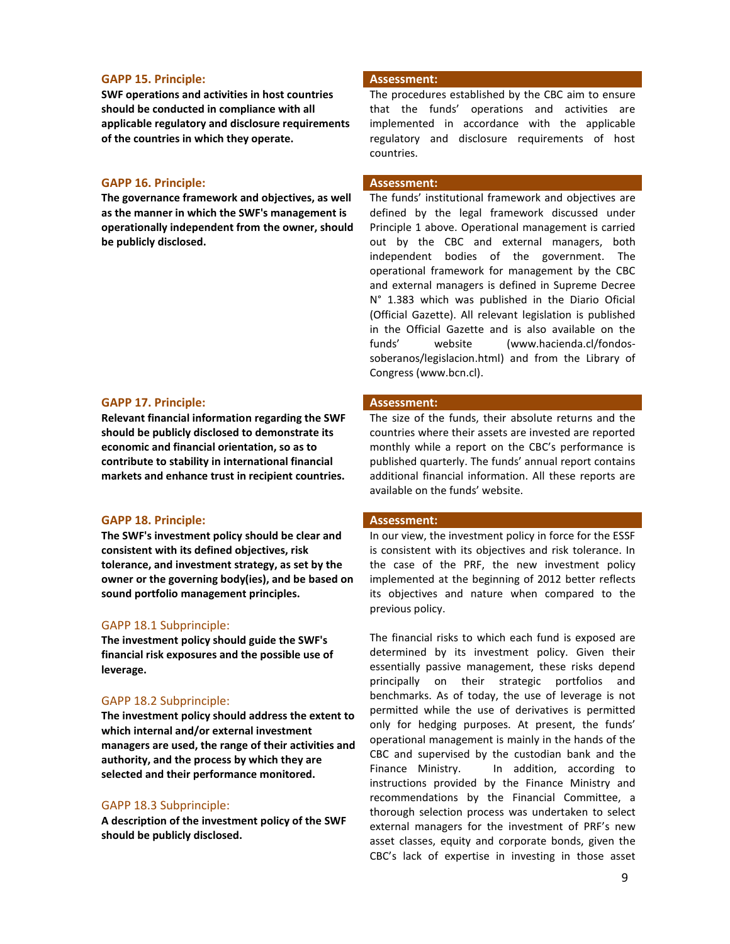### **GAPP 15. Principle: Assessment:**

**SWF operations and activities in host countries should be conducted in compliance with all applicable regulatory and disclosure requirements of the countries in which they operate.**

# **GAPP 16. Principle: Assessment:**

**The governance framework and objectives, as well as the manner in which the SWF's management is operationally independent from the owner, should be publicly disclosed.**

### **GAPP 17. Principle: Assessment:**

**Relevant financial information regarding the SWF should be publicly disclosed to demonstrate its economic and financial orientation, so as to contribute to stability in international financial markets and enhance trust in recipient countries.**

# **GAPP 18. Principle: Assessment:**

**The SWF's investment policy should be clear and consistent with its defined objectives, risk tolerance, and investment strategy, as set by the owner or the governing body(ies), and be based on sound portfolio management principles.** 

# GAPP 18.1 Subprinciple:

**The investment policy should guide the SWF's financial risk exposures and the possible use of leverage.** 

# GAPP 18.2 Subprinciple:

**The investment policy should address the extent to which internal and/or external investment managers are used, the range of their activities and authority, and the process by which they are selected and their performance monitored.**

# GAPP 18.3 Subprinciple:

**A description of the investment policy of the SWF should be publicly disclosed.** 

The procedures established by the CBC aim to ensure that the funds' operations and activities are implemented in accordance with the applicable regulatory and disclosure requirements of host countries.

The funds' institutional framework and objectives are defined by the legal framework discussed under Principle 1 above. Operational management is carried out by the CBC and external managers, both independent bodies of the government. The operational framework for management by the CBC and external managers is defined in Supreme Decree N° 1.383 which was published in the Diario Oficial (Official Gazette). All relevant legislation is published in the Official Gazette and is also available on the funds' website (www.hacienda.cl/fondossoberanos/legislacion.html) and from the Library of Congress [\(www.bcn.cl\)](http://www.bcn.cl/).

The size of the funds, their absolute returns and the countries where their assets are invested are reported monthly while a report on the CBC's performance is published quarterly. The funds' annual report contains additional financial information. All these reports are available on the funds' website.

In our view, the investment policy in force for the ESSF is consistent with its objectives and risk tolerance. In the case of the PRF, the new investment policy implemented at the beginning of 2012 better reflects its objectives and nature when compared to the previous policy.

The financial risks to which each fund is exposed are determined by its investment policy. Given their essentially passive management, these risks depend principally on their strategic portfolios and benchmarks. As of today, the use of leverage is not permitted while the use of derivatives is permitted only for hedging purposes. At present, the funds' operational management is mainly in the hands of the CBC and supervised by the custodian bank and the Finance Ministry. In addition, according to instructions provided by the Finance Ministry and recommendations by the Financial Committee, a thorough selection process was undertaken to select external managers for the investment of PRF's new asset classes, equity and corporate bonds, given the CBC's lack of expertise in investing in those asset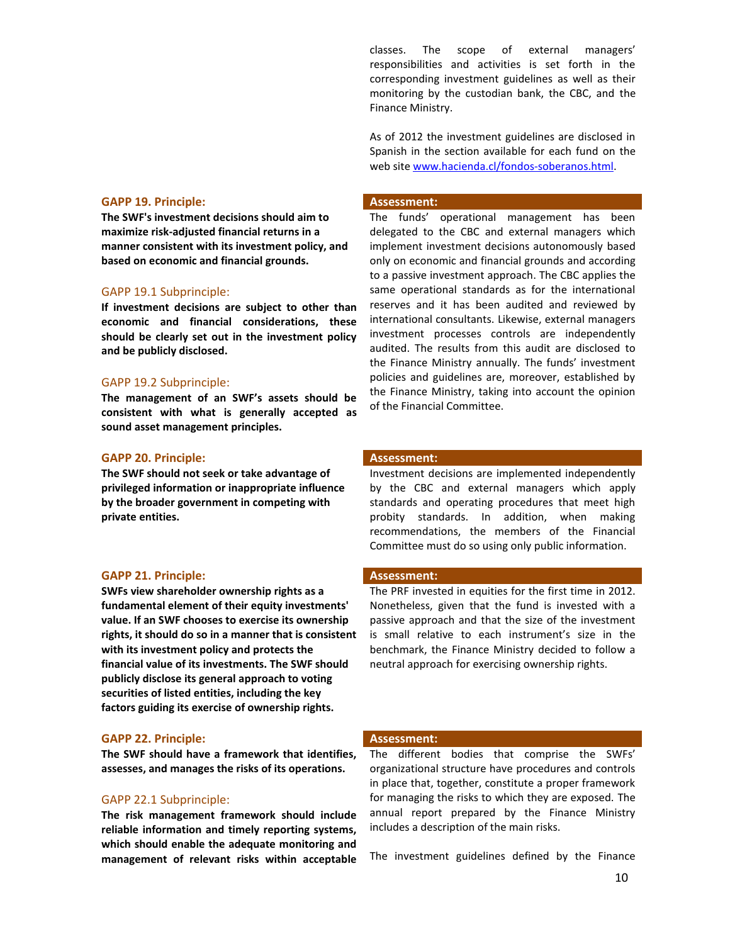### **GAPP 19. Principle: Assessment:**

**The SWF's investment decisions should aim to maximize risk-adjusted financial returns in a manner consistent with its investment policy, and based on economic and financial grounds.** 

# GAPP 19.1 Subprinciple:

**If investment decisions are subject to other than economic and financial considerations, these should be clearly set out in the investment policy and be publicly disclosed.** 

### GAPP 19.2 Subprinciple:

**The management of an SWF's assets should be consistent with what is generally accepted as sound asset management principles.** 

### **GAPP 20. Principle: Assessment:**

**The SWF should not seek or take advantage of privileged information or inappropriate influence by the broader government in competing with private entities.**

### **GAPP 21. Principle: Assessment:**

**SWFs view shareholder ownership rights as a fundamental element of their equity investments' value. If an SWF chooses to exercise its ownership rights, it should do so in a manner that is consistent with its investment policy and protects the financial value of its investments. The SWF should publicly disclose its general approach to voting securities of listed entities, including the key factors guiding its exercise of ownership rights.**

### **GAPP 22. Principle: Assessment:**

**The SWF should have a framework that identifies, assesses, and manages the risks of its operations.** 

### GAPP 22.1 Subprinciple:

**The risk management framework should include reliable information and timely reporting systems, which should enable the adequate monitoring and management of relevant risks within acceptable**  classes. The scope of external managers' responsibilities and activities is set forth in the corresponding investment guidelines as well as their monitoring by the custodian bank, the CBC, and the Finance Ministry.

As of 2012 the investment guidelines are disclosed in Spanish in the section available for each fund on the web site [www.hacienda.cl/fondos-soberanos.html.](http://www.hacienda.cl/fondos-soberanos.html)

The funds' operational management has been delegated to the CBC and external managers which implement investment decisions autonomously based only on economic and financial grounds and according to a passive investment approach. The CBC applies the same operational standards as for the international reserves and it has been audited and reviewed by international consultants. Likewise, external managers investment processes controls are independently audited. The results from this audit are disclosed to the Finance Ministry annually. The funds' investment policies and guidelines are, moreover, established by the Finance Ministry, taking into account the opinion of the Financial Committee.

Investment decisions are implemented independently by the CBC and external managers which apply standards and operating procedures that meet high probity standards. In addition, when making recommendations, the members of the Financial Committee must do so using only public information.

The PRF invested in equities for the first time in 2012. Nonetheless, given that the fund is invested with a passive approach and that the size of the investment is small relative to each instrument's size in the benchmark, the Finance Ministry decided to follow a neutral approach for exercising ownership rights.

The different bodies that comprise the SWFs' organizational structure have procedures and controls in place that, together, constitute a proper framework for managing the risks to which they are exposed. The annual report prepared by the Finance Ministry includes a description of the main risks.

The investment guidelines defined by the Finance